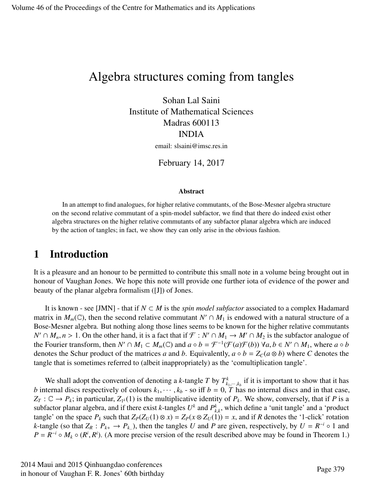# Algebra structures coming from tangles

Sohan Lal Saini Institute of Mathematical Sciences Madras 600113 INDIA email: slsaini@imsc.res.in

February 14, 2017

#### Abstract

In an attempt to find analogues, for higher relative commutants, of the Bose-Mesner algebra structure on the second relative commutant of a spin-model subfactor, we find that there do indeed exist other algebra structures on the higher relative commutants of any subfactor planar algebra which are induced by the action of tangles; in fact, we show they can only arise in the obvious fashion.

### 1 Introduction

It is a pleasure and an honour to be permitted to contribute this small note in a volume being brought out in honour of Vaughan Jones. We hope this note will provide one further iota of evidence of the power and beauty of the planar algebra formalism ([J]) of Jones.

It is known - see [JMN] - that if *N* ⊂ *M* is the *spin model subfactor* associated to a complex Hadamard matrix in  $M_m(\mathbb{C})$ , then the second relative commutant  $N' \cap M_1$  is endowed with a natural structure of a Bose-Mesner algebra. But nothing along those lines seems to be known for the higher relative commutants *N'* ∩ *M<sub>n</sub>*, *n* > 1. On the other hand, it is a fact that if  $\mathcal{F}: N' \cap M_1 \to M' \cap M_2$  is the subfactor analogue of the Fourier transform then *N'* ∩ *M*. ⊂ *M* (*C*) and  $a \circ b = \mathcal{F}^{-1}(\mathcal{F}(a) \mathcal{F}(b))$   $\forall a, b \in N' \cap M$ the Fourier transform, then  $N' \cap M_1 \subset M_m(\mathbb{C})$  and  $a \circ b = \mathcal{F}^{-1}(\mathcal{F}(a)\mathcal{F}(b))$   $\forall a, b \in N' \cap M_1$ , where  $a \circ b$ <br>denotes the Schur product of the matrices *a* and *b*. Faujualently,  $a \circ b = Z_a(a \otimes b)$  where *C* denotes the denotes the Schur product of the matrices *a* and *b*. Equivalently,  $a \circ b = Z_C(a \otimes b)$  where *C* denotes the tangle that is sometimes referred to (albeit inappropriately) as the 'comultiplication tangle'.

We shall adopt the convention of denoting a k-tangle T by  $T^k_{k_1,\dots,k_k}$  if it is important to show that it has *b* internal discs respectively of colours  $k_1, \dots, k_b$  - so iff  $b = 0$ , *T* has no internal discs and in that case,  $Z_{\pi}: \mathbb{C} \to P$ . in particular  $Z_{\mu}(1)$  is the multiplicative identity of *P*. We show conversely that  $Z_T$ :  $\mathbb{C} \to P_k$ ; in particular,  $Z_{1^k}(1)$  is the multiplicative identity of  $P_k$ . We show, conversely, that if *P* is a subfactor planar algebra, and if there exist *k*-tangles  $U^k$  and  $P^k_{k,k}$ , which define a 'unit tangle' and a 'product *k*<sub>*k*</sub></sub> is the space  $P_k$  such that  $Z_P(Z_U(1) \otimes x) = Z_P(x \otimes Z_U(1)) = x$ , and if *R* denotes the '1-click' rotation *k*-tangle (so that  $Z_R$ :  $P_{k+} \to P_{k-}$ ), then the tangles *U* and *P* are given, respectively, by  $U = R^{-i} \circ 1$  and  $P = R^{-i} \circ M_k \circ (R^i, R^i)$ . (A more precise version of the result described above may be found in Theorem 1.)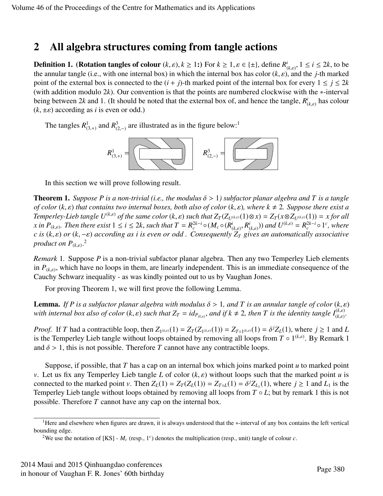## 2 All algebra structures coming from tangle actions

**Definition 1.** (**Rotation tangles of colour**  $(k, \varepsilon), k \ge 1$ **:**) For  $k \ge 1$ ,  $\varepsilon \in {\pm}$ , define  $R^i_{(k,\varepsilon)}, 1 \le i \le 2k$ , to be the annular tangle (**i** e with one internal box) in which the internal box has color  $(k, \varepsilon)$ the annular tangle (i.e., with one internal box) in which the internal box has color  $(k, \varepsilon)$ , and the *j*-th marked<br>point of the external box is connected to the  $(i + j)$ -th marked point of the internal box for every  $1 \le$ point of the external box is connected to the  $(i + j)$ -th marked point of the internal box for every  $1 \leq j \leq 2k$ (with addition modulo 2*k*). Our convention is that the points are numbered clockwise with the ∗-interval being between 2k and 1. (It should be noted that the external box of, and hence the tangle,  $R_i^i$  $\int_{(k,\varepsilon)}^{i}$  has colour  $(k, \pm \varepsilon)$  according as *i* is even or odd.)

The tangles  $R^1_{(3, +)}$  and  $R^3_{(2, -)}$  are illustrated as in the figure below:<sup>1</sup>



In this section we will prove following result.

**Theorem 1.** *Suppose P is a non-trivial (i.e., the modulus*  $\delta > 1$ ) *subfactor planar algebra and* T *is a tangle of color*  $(k, \varepsilon)$  *that contains two internal boxes, both also of color*  $(k, \varepsilon)$ *, where*  $k \neq 2$ *. Suppose there exist a* Temperley-Lieb tangle  $U^{(k,\varepsilon)}$  of the same color  $(k,\varepsilon)$  such that  $Z_T(Z_{U^{(k,\varepsilon)}}(1)\otimes x) = Z_T(x\otimes Z_{U^{(k,\varepsilon)}}(1)) = x$  for all <br>x in  $P_{U^{(k,\varepsilon)}}$ . Then there exist  $1 \le i \le 2k$  such that  $T = R^{2k-i} \circ (M \circ (R^i - R^i))$  and  $U^{(k,\$ *x* in  $P_{(k,\varepsilon)}$ . Then there exist  $1 \le i \le 2k$ , such that  $T = R_c^{2k-i} \circ (M_c \circ (R_c^i \circ f)(k \circ f))$  $\frac{i}{(k,\varepsilon)}, R^i_{(k,\varepsilon)}$  $(\lambda_{k,\varepsilon})$ ) and  $U^{(k,\varepsilon)} = R_c^{2k-i} \circ 1^c$ , where *<sup>c</sup> is* (*k*, ε) *or* (*k*, <sup>−</sup>ε) *according as <sup>i</sup> is even or odd . Consequently <sup>Z</sup><sup>T</sup> gives an automatically associative product on P*(*k*,ε) . 2

*Remark* 1*.* Suppose *P* is a non-trivial subfactor planar algebra. Then any two Temperley Lieb elements in  $P_{(k,\varepsilon)}$ , which have no loops in them, are linearly independent. This is an immediate consequence of the<br>Consequence integrative secure linearly prejudice and to use her Vanchen Janear Dense Cauchy Schwarz inequality - as was kindly pointed out to us by Vaughan Jones.

For proving Theorem 1, we will first prove the following Lemma.

**Lemma.** *If P is a subfactor planar algebra with modulus*  $\delta > 1$ , and T *is an annular tangle of color*  $(k, \varepsilon)$ *with internal box also of color*  $(k, \varepsilon)$  *such that*  $Z_T = id_{P_{(k,\varepsilon)}}$ *, and if*  $k \neq 2$ *, then T is the identity tangle*  $I_{(k,\varepsilon)}^{(k,\varepsilon)}$ *.* 

*Proof.* If T had a contractible loop, then  $Z_{1^{(k,\varepsilon)}}(1) = Z_T(Z_{1^{(k,\varepsilon)}}(1)) = Z_{T_01^{(k,\varepsilon)}}(1) = \delta^j Z_L(1)$ , where  $j \ge 1$  and L is the Temperley I jeb tangle without loops obtained by removing all loops from  $T \circ 1^{(k,\varepsilon)}$ is the Temperley Lieb tangle without loops obtained by removing all loops from  $T \circ 1^{(k,\varepsilon)}$ . By Remark 1 and  $\delta > 1$ , this is not possible. Therefore *T* cannot have any contractible loops.

Suppose, if possible, that *T* has a cap on an internal box which joins marked point *u* to marked point *<sup>v</sup>*. Let us fix any Temperley Lieb tangle *<sup>L</sup>* of color (*k*, ε) without loops such that the marked point *<sup>u</sup>* is connected to the marked point *v*. Then  $Z_L(1) = Z_T(Z_L(1)) = Z_{T \circ L}(1) = \delta^j Z_{L_1}(1)$ , where  $j \ge 1$  and  $L_1$  is the Temperley I jeb tangle without loops obtained by removing all loops from  $T \circ L$ ; but by remark 1 this is not Temperley Lieb tangle without loops obtained by removing all loops from *T* ◦ *L*; but by remark 1 this is not possible. Therefore *T* cannot have any cap on the internal box.

<sup>1</sup>Here and elsewhere when figures are drawn, it is always understood that the ∗-interval of any box contains the left vertical bounding edge.

<sup>&</sup>lt;sup>2</sup>We use the notation of [KS] -  $M_c$  (resp., 1<sup>c</sup>) denotes the multiplication (resp., unit) tangle of colour *c*.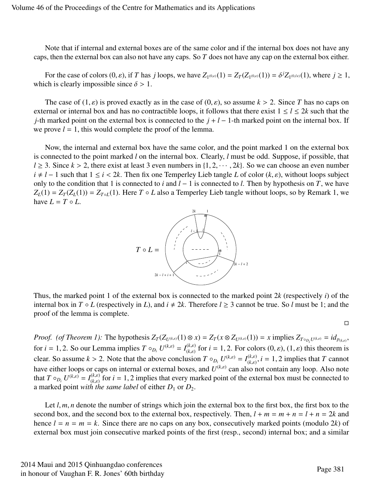Note that if internal and external boxes are of the same color and if the internal box does not have any caps, then the external box can also not have any caps. So *T* does not have any cap on the external box either.

For the case of colors  $(0, \varepsilon)$ , if *T* has *j* loops, we have  $Z_{1^{(0,\varepsilon)}}(1) = Z_T(Z_{1^{(0,\varepsilon)}}(1)) = \delta^j Z_{1^{(0,\varepsilon)}}(1)$ , where  $j \ge 1$ , ch is clearly impossible since  $\delta > 1$ which is clearly impossible since  $\delta > 1$ .

The case of  $(1, \varepsilon)$  is proved exactly as in the case of  $(0, \varepsilon)$ , so assume  $k > 2$ . Since T has no caps on external or internal box and has no contractible loops, it follows that there exist  $1 \le l \le 2k$  such that the *j*-th marked point on the external box is connected to the *j* + *l* − 1-th marked point on the internal box. If we prove  $l = 1$ , this would complete the proof of the lemma.

Now, the internal and external box have the same color, and the point marked 1 on the external box is connected to the point marked *l* on the internal box. Clearly, *l* must be odd. Suppose, if possible, that  $l \geq 3$ . Since  $k > 2$ , there exist at least 3 even numbers in  $\{1, 2, \dots, 2k\}$ . So we can choose an even number *i* ≠ *l* − 1 such that  $1 \le i < 2k$ . Then fix one Temperley Lieb tangle *L* of color  $(k, \varepsilon)$ , without loops subject only to the condition that 1 is connected to *i* and *l* − 1 is connected to *l*. Then by hypothesis on *T*, we have  $Z_L(1) = Z_T(Z_L(1)) = Z_{T \circ L}(1)$ . Here *T* ◦ *L* also a Temperley Lieb tangle without loops, so by Remark 1, we have  $L = T \circ L$ .



Thus, the marked point 1 of the external box is connected to the marked point 2*k* (respectively *i*) of the internal box in *T* ◦ *L* (respectively in *L*), and  $i \neq 2k$ . Therefore  $l \geq 3$  cannot be true. So *l* must be 1; and the proof of the lemma is complete.

 $\Box$ 

*Proof.* (of Theorem 1): The hypothesis  $Z_T(Z_{U^{(k,\varepsilon)}}(1)\otimes x) = Z_T(x \otimes Z_{U^{(k,\varepsilon)}}(1)) = x$  implies  $Z_{T\circ_{D_i}U^{(k,\varepsilon)}} = id_{p_{(k,\varepsilon)}}$ for *i* = 1, 2. So our Lemma implies  $T \circ_{D_i} U^{(k,\varepsilon)} = I_{(k,\varepsilon)}^{(k,\varepsilon)}$  for *i* = 1, 2. For colors  $(0,\varepsilon)$ ,  $(1,\varepsilon)$  this theorem is (*k,ε*) for  $i = 1, 2$ . For colors  $(0, \varepsilon)$ ,  $(1, \varepsilon)$  this theorem is clear. So assume  $k > 2$ . Note that the above conclusion  $T \circ_{D_i} U^{(k,\varepsilon)} = I_{(k,\varepsilon)}^{(k,\varepsilon)}$  $\binom{k,\varepsilon}{(k,\varepsilon)}$ ,  $i = 1, 2$  implies that *T* cannot have either loops or caps on internal or external boxes, and  $U^{(k,\varepsilon)}$  can also not contain any loop. Also note that  $T \circ_{D_i} U^{(k,\varepsilon)} = I_{(k,\varepsilon)}^{(k,\varepsilon)}$  for  $i = 1, 2$  implies that every marked point of the external box must be connected to a marked point with the same label of either  $D_k$  or  $D_k$ a marked point *with the same label* of either  $D_1$  or  $D_2$ .

Let *l*, *m*, *n* denote the number of strings which join the external box to the first box, the first box to the second box, and the second box to the external box, respectively. Then,  $l + m = m + n = l + n = 2k$  and hence  $l = n = m = k$ . Since there are no caps on any box, consecutively marked points (modulo 2*k*) of external box must join consecutive marked points of the first (resp., second) internal box; and a similar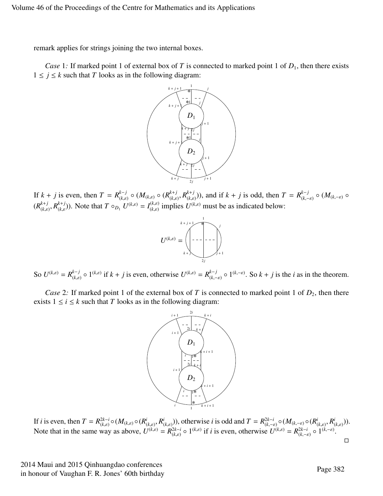remark applies for strings joining the two internal boxes.

*Case* 1: If marked point 1 of external box of *T* is connected to marked point 1 of  $D_1$ , then there exists  $1 \leq j \leq k$  such that *T* looks as in the following diagram:



If  $k + j$  is even, then  $T = R_{\alpha}^{k-j}$  $(k, \varepsilon)$   $\circ$   $(M_{(k, \varepsilon)} \circ (R_{(k, \varepsilon)}^{k+j}))$  $\binom{k+j}{(k,\varepsilon)}$ ,  $R_{(k,\varepsilon)}^{k+j}$  $(\binom{k+j}{(k,\varepsilon)})$ , and if  $k + j$  is odd, then  $T = R_{(k,\varepsilon)}^{k-j}$ (*k*,−ε) ◦ (*M*(*k*,−ε) ◦  $(R^{k+j}_{(k,s)}$  $\binom{k+j}{(k,\varepsilon)}$ ,  $R_{(k,\varepsilon)}^{k+j}$  $(k, \varepsilon)$ ). Note that  $T \circ_{D_1} U^{(k, \varepsilon)} = I_{(k, \varepsilon)}^{(k, \varepsilon)}$  $(k,\varepsilon)$  implies  $U^{(k,\varepsilon)}$  must be as indicated below:



So  $U^{(k,\varepsilon)} = R_{(k,\varepsilon)}^{k-j}$  $(k, \varepsilon)$  o  $1^{(k, \varepsilon)}$  if  $k + j$  is even, otherwise  $U^{(k, \varepsilon)} = R_{(k, -1)}^{k-j}$  $(k, -\varepsilon)$  o 1<sup>(k,− $\varepsilon$ ). So  $k + j$  is the *i* as in the theorem.</sup>

*Case* 2: If marked point 1 of the external box of *T* is connected to marked point 1 of  $D_2$ , then there exists  $1 \le i \le k$  such that *T* looks as in the following diagram:



If *i* is even, then  $T = R^{2k-i}_{(k, \varepsilon)}$  $\frac{2k-i}{(k,\varepsilon)} \circ (M_{(k,\varepsilon)} \circ (R_0^i))$  $\frac{i}{(k,\varepsilon)}, R^i_{(k,\varepsilon)}$  $(\lambda(k,\varepsilon))$ , otherwise *i* is odd and  $T = R^{2k-i}_{(k,-\varepsilon)}$ <br>  $\lambda(k,\varepsilon)$  if *i* is over otherwise *I*  $\frac{2k-i}{(k,-\varepsilon)} \circ (M_{(k,-\varepsilon)} \circ (R_0^i))$  $\frac{i}{(k,\varepsilon)}, R^i_{(k,-\varepsilon)}$ (*k*,ε) )). Note that in the same way as above,  $U^{(k,\varepsilon)} = R_{(k,\varepsilon)}^{2k-i}$  $(0, \epsilon)$  o  $1^{(k,\epsilon)}$  if *i* is even, otherwise  $U^{(k,\epsilon)} = R_{(k,-\epsilon)}^{2k-i}$  $\frac{2k-i}{(k,-\varepsilon)} \circ 1^{(k,-\varepsilon)}.$  $\Box$ 

2014 Maui and 2015 Qinhuangdao conferences in honour of Vaughan F. R. Jones' 60th birthday